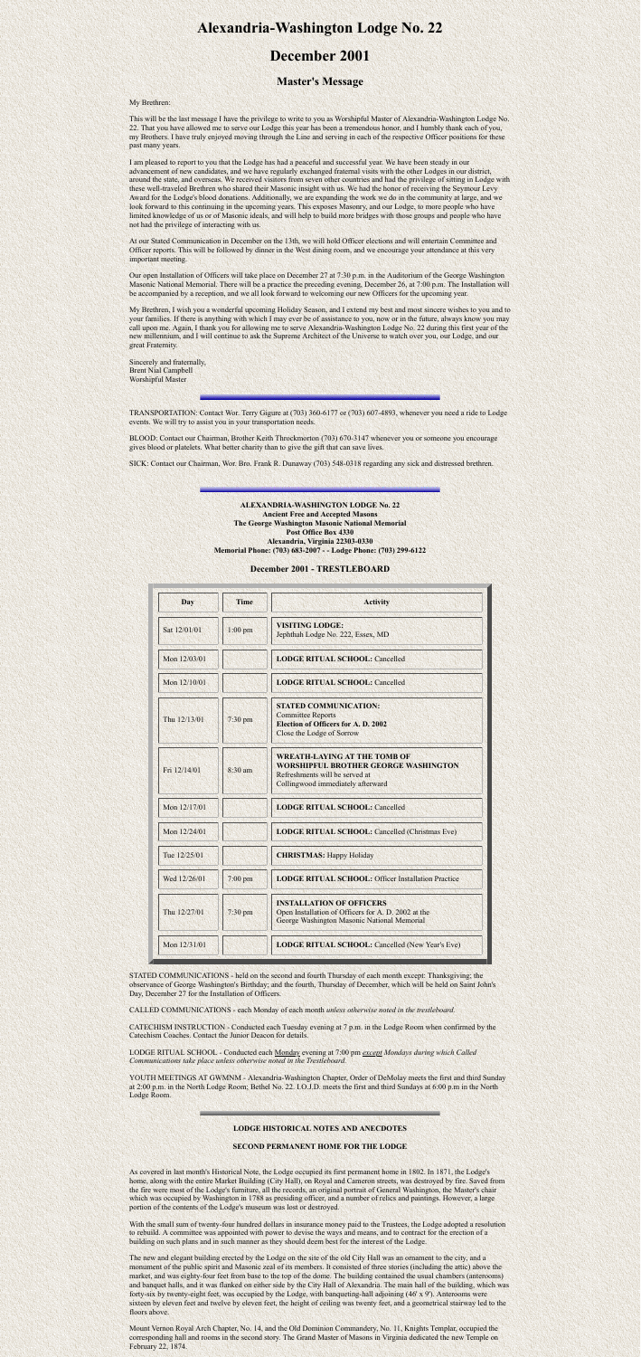# **Alexandria-Washington Lodge No. 22**

## **December 2001**

### **Master's Message**

My Brethren:

This will be the last message I have the privilege to write to you as Worshipful Master of Alexandria-Washington Lodge No. 22. That you have allowed me to serve our Lodge this year has been a tremendous honor, and I humbly thank each of you, my Brothers. I have truly enjoyed moving through the Line and serving in each of the respective Officer positions for these past many years.

I am pleased to report to you that the Lodge has had a peaceful and successful year. We have been steady in our advancement of new candidates, and we have regularly exchanged fraternal visits with the other Lodges in our district, around the state, and overseas. We received visitors from seven other countries and had the privilege of sitting in Lodge with these well-traveled Brethren who shared their Masonic insight with us. We had the honor of receiving the Seymour Levy Award for the Lodge's blood donations. Additionally, we are expanding the work we do in the community at large, and we look forward to this continuing in the upcoming years. This exposes Masonry, and our Lodge, to more people who have limited knowledge of us or of Masonic ideals, and will help to build more bridges with those groups and people who have not had the privilege of interacting with us.

At our Stated Communication in December on the 13th, we will hold Officer elections and will entertain Committee and Officer reports. This will be followed by dinner in the West dining room, and we encourage your attendance at this very important meeting.

Our open Installation of Officers will take place on December 27 at 7:30 p.m. in the Auditorium of the George Washington Masonic National Memorial. There will be a practice the preceding evening, December 26, at 7:00 p.m. The Installation will be accompanied by a reception, and we all look forward to welcoming our new Officers for the upcoming year.

My Brethren, I wish you a wonderful upcoming Holiday Season, and I extend my best and most sincere wishes to you and to your families. If there is anything with which I may ever be of assistance to you, now or in the future, always know you may call upon me. Again, I thank you for allowing me to serve Alexandria-Washington Lodge No. 22 during this first year of the new millennium, and I will continue to ask the Supreme Architect of the Universe to watch over you, our Lodge, and our great Fraternity.

Sincerely and fraternally, Brent Nial Campbell Worshipful Master

YOUTH MEETINGS AT GWMNM - Alexandria-Washington Chapter, Order of DeMolay meets the first and third Sunday at 2:00 p.m. in the North Lodge Room; Bethel No. 22. I.O.J.D. meets the first and third Sundays at 6:00 p.m in the North Lodge Room.

TRANSPORTATION: Contact Wor. Terry Gigure at (703) 360-6177 or (703) 607-4893, whenever you need a ride to Lodge events. We will try to assist you in your transportation needs.

BLOOD: Contact our Chairman, Brother Keith Throckmorton (703) 670-3147 whenever you or someone you encourage gives blood or platelets. What better charity than to give the gift that can save lives.

SICK: Contact our Chairman, Wor. Bro. Frank R. Dunaway (703) 548-0318 regarding any sick and distressed brethren.

The new and elegant building erected by the Lodge on the site of the old City Hall was an ornament to the city, and a monument of the public spirit and Masonic zeal of its members. It consisted of three stories (including the attic) above the market, and was eighty-four feet from base to the top of the dome. The building contained the usual chambers (anterooms) and banquet halls, and it was flanked on either side by the City Hall of Alexandria. The main hall of the building, which was forty-six by twenty-eight feet, was occupied by the Lodge, with banqueting-hall adjoining (46' x 9'). Anterooms were sixteen by eleven feet and twelve by eleven feet, the height of ceiling was twenty feet, and a geometrical stairway led to the floors above.

**ALEXANDRIA-WASHINGTON LODGE No. 22 Ancient Free and Accepted Masons The George Washington Masonic National Memorial Post Office Box 4330 Alexandria, Virginia 22303-0330 Memorial Phone: (703) 683-2007 - - Lodge Phone: (703) 299-6122**

**December 2001 - TRESTLEBOARD**

| Day          | <b>Time</b> | <b>Activity</b>                                                                                                                                           |
|--------------|-------------|-----------------------------------------------------------------------------------------------------------------------------------------------------------|
| Sat 12/01/01 | $1:00$ pm   | <b>VISITING LODGE:</b><br>Jephthah Lodge No. 222, Essex, MD                                                                                               |
| Mon 12/03/01 |             | <b>LODGE RITUAL SCHOOL: Cancelled</b>                                                                                                                     |
| Mon 12/10/01 |             | <b>LODGE RITUAL SCHOOL: Cancelled</b>                                                                                                                     |
| Thu 12/13/01 | $7:30$ pm   | <b>STATED COMMUNICATION:</b><br><b>Committee Reports</b><br><b>Election of Officers for A. D. 2002</b><br>Close the Lodge of Sorrow                       |
| Fri 12/14/01 | 8:30 am     | <b>WREATH-LAYING AT THE TOMB OF</b><br><b>WORSHIPFUL BROTHER GEORGE WASHINGTON</b><br>Refreshments will be served at<br>Collingwood immediately afterward |
| Mon 12/17/01 |             | <b>LODGE RITUAL SCHOOL: Cancelled</b>                                                                                                                     |
| Mon 12/24/01 |             | <b>LODGE RITUAL SCHOOL: Cancelled (Christmas Eve)</b>                                                                                                     |
| Tue 12/25/01 |             | <b>CHRISTMAS: Happy Holiday</b>                                                                                                                           |
| Wed 12/26/01 | 7:00 pm     | <b>LODGE RITUAL SCHOOL: Officer Installation Practice</b>                                                                                                 |
| Thu 12/27/01 | $7:30$ pm   | <b>INSTALLATION OF OFFICERS</b><br>Open Installation of Officers for A. D. 2002 at the<br>George Washington Masonic National Memorial                     |
| Mon 12/31/01 |             | <b>LODGE RITUAL SCHOOL: Cancelled (New Year's Eve)</b>                                                                                                    |

STATED COMMUNICATIONS - held on the second and fourth Thursday of each month except: Thanksgiving; the observance of George Washington's Birthday; and the fourth, Thursday of December, which will be held on Saint John's Day, December 27 for the Installation of Officers.

CALLED COMMUNICATIONS - each Monday of each month *unless otherwise noted in the trestleboard.*

CATECHISM INSTRUCTION - Conducted each Tuesday evening at 7 p.m. in the Lodge Room when confirmed by the Catechism Coaches. Contact the Junior Deacon for details.

LODGE RITUAL SCHOOL - Conducted each Monday evening at 7:00 pm *except Mondays during which Called Communications take place unless otherwise noted in the Trestleboard.*

#### **LODGE HISTORICAL NOTES AND ANECDOTES**

#### **SECOND PERMANENT HOME FOR THE LODGE**

As covered in last month's Historical Note, the Lodge occupied its first permanent home in 1802. In 1871, the Lodge's home, along with the entire Market Building (City Hall), on Royal and Cameron streets, was destroyed by fire. Saved from the fire were most of the Lodge's furniture, all the records, an original portrait of General Washington, the Master's chair which was occupied by Washington in 1788 as presiding officer, and a number of relics and paintings. However, a large portion of the contents of the Lodge's museum was lost or destroyed.

With the small sum of twenty-four hundred dollars in insurance money paid to the Trustees, the Lodge adopted a resolution to rebuild. A committee was appointed with power to devise the ways and means, and to contract for the erection of a building on such plans and in such manner as they should deem best for the interest of the Lodge.

Mount Vernon Royal Arch Chapter, No. 14, and the Old Dominion Commandery, No. 11, Knights Templar, occupied the corresponding hall and rooms in the second story. The Grand Master of Masons in Virginia dedicated the new Temple on February 22, 1874.